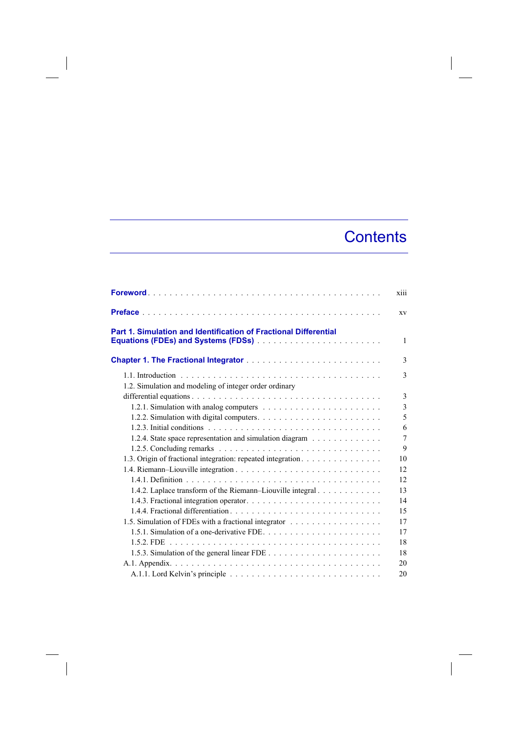## **Contents**

|                                                                                                                | xiii           |
|----------------------------------------------------------------------------------------------------------------|----------------|
|                                                                                                                | XV             |
| Part 1. Simulation and Identification of Fractional Differential<br><b>Equations (FDEs) and Systems (FDSs)</b> | 1              |
|                                                                                                                | 3              |
| 1.2. Simulation and modeling of integer order ordinary                                                         | 3              |
|                                                                                                                | 3              |
|                                                                                                                | 3              |
|                                                                                                                | 5              |
|                                                                                                                | 6              |
| 1.2.4. State space representation and simulation diagram                                                       | $\overline{7}$ |
|                                                                                                                | 9              |
| 1.3. Origin of fractional integration: repeated integration.                                                   | 10             |
|                                                                                                                | 12             |
|                                                                                                                | 12             |
| 1.4.2. Laplace transform of the Riemann-Liouville integral                                                     | 13             |
|                                                                                                                | 14             |
|                                                                                                                | 15             |
| 1.5. Simulation of FDEs with a fractional integrator                                                           | 17             |
|                                                                                                                | 17             |
|                                                                                                                | 18             |
|                                                                                                                | 18             |
|                                                                                                                | 20             |
|                                                                                                                | 20             |

 $\overline{\phantom{a}}$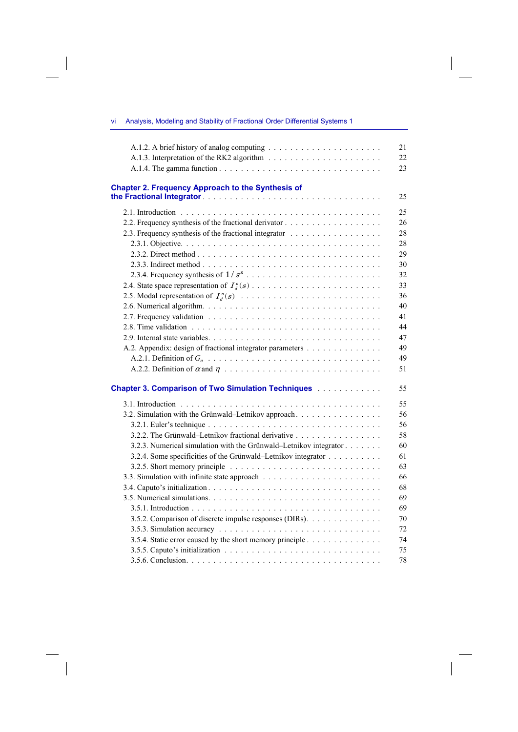|                                                                                                                             | 21 |
|-----------------------------------------------------------------------------------------------------------------------------|----|
|                                                                                                                             | 22 |
|                                                                                                                             | 23 |
| <b>Chapter 2. Frequency Approach to the Synthesis of</b>                                                                    |    |
|                                                                                                                             | 25 |
|                                                                                                                             | 25 |
|                                                                                                                             | 26 |
| 2.3. Frequency synthesis of the fractional integrator                                                                       | 28 |
|                                                                                                                             | 28 |
|                                                                                                                             | 29 |
|                                                                                                                             | 30 |
|                                                                                                                             | 32 |
|                                                                                                                             | 33 |
|                                                                                                                             | 36 |
|                                                                                                                             | 40 |
|                                                                                                                             | 41 |
|                                                                                                                             | 44 |
|                                                                                                                             | 47 |
| A.2. Appendix: design of fractional integrator parameters                                                                   | 49 |
|                                                                                                                             | 49 |
|                                                                                                                             | 51 |
| <b>Chapter 3. Comparison of Two Simulation Techniques Administration Chapter 3. Comparison of Two Simulation Techniques</b> | 55 |
|                                                                                                                             | 55 |
| 3.2. Simulation with the Grünwald-Letnikov approach.                                                                        | 56 |
|                                                                                                                             | 56 |
| 3.2.2. The Grünwald-Letnikov fractional derivative                                                                          | 58 |
| 3.2.3. Numerical simulation with the Grünwald-Letnikov integrator                                                           | 60 |
| 3.2.4. Some specificities of the Grünwald–Letnikov integrator                                                               | 61 |
|                                                                                                                             | 63 |
|                                                                                                                             | 66 |
|                                                                                                                             | 68 |
|                                                                                                                             | 69 |
|                                                                                                                             | 69 |
| 3.5.2. Comparison of discrete impulse responses (DIRs).                                                                     | 70 |
|                                                                                                                             | 72 |
| 3.5.4. Static error caused by the short memory principle                                                                    | 74 |
|                                                                                                                             | 75 |
|                                                                                                                             | 78 |

 $\overline{\phantom{a}}$ 

vi Analysis, Modeling and Stability of Fractional Order Differential Systems 1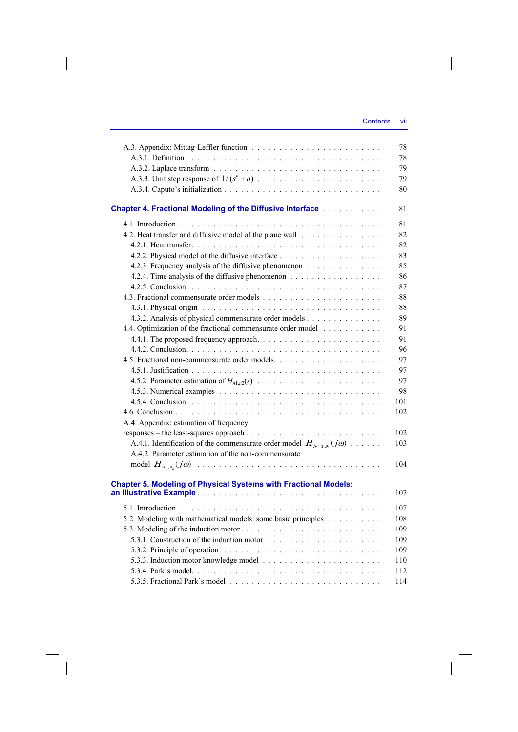|                                                                                 | 78  |
|---------------------------------------------------------------------------------|-----|
|                                                                                 | 78  |
|                                                                                 | 79  |
|                                                                                 | 79  |
|                                                                                 | 80  |
|                                                                                 |     |
| <b>Chapter 4. Fractional Modeling of the Diffusive Interface Administration</b> | 81  |
|                                                                                 | 81  |
| 4.2. Heat transfer and diffusive model of the plane wall                        | 82  |
|                                                                                 | 82  |
|                                                                                 | 83  |
| 4.2.3. Frequency analysis of the diffusive phenomenon                           | 85  |
|                                                                                 | 86  |
|                                                                                 | 87  |
|                                                                                 | 88  |
|                                                                                 | 88  |
| 4.3.2. Analysis of physical commensurate order models                           | 89  |
| 4.4. Optimization of the fractional commensurate order model                    | 91  |
|                                                                                 | 91  |
|                                                                                 | 96  |
|                                                                                 | 97  |
|                                                                                 | 97  |
|                                                                                 | 97  |
|                                                                                 | 98  |
|                                                                                 | 101 |
|                                                                                 | 102 |
| A.4. Appendix: estimation of frequency                                          |     |
|                                                                                 | 102 |
| A.4.1. Identification of the commensurate order model $H_{N-1,N}(j\omega)$      | 103 |
| A.4.2. Parameter estimation of the non-commensurate                             |     |
|                                                                                 | 104 |
|                                                                                 |     |
| <b>Chapter 5. Modeling of Physical Systems with Fractional Models:</b>          |     |
|                                                                                 | 107 |
|                                                                                 | 107 |
| 5.2. Modeling with mathematical models: some basic principles                   | 108 |
|                                                                                 | 109 |
|                                                                                 | 109 |
|                                                                                 | 109 |
|                                                                                 | 110 |
|                                                                                 | 112 |
|                                                                                 | 114 |
|                                                                                 |     |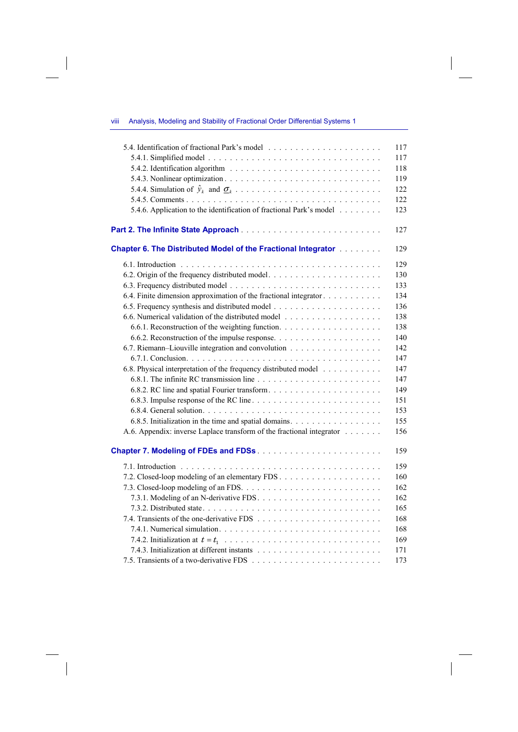## viii Analysis, Modeling and Stability of Fractional Order Differential Systems 1

 $\overline{\phantom{a}}$ 

 $\overline{\phantom{a}}$ 

|                                                                                                                                                        | 117 |
|--------------------------------------------------------------------------------------------------------------------------------------------------------|-----|
|                                                                                                                                                        | 117 |
|                                                                                                                                                        | 118 |
|                                                                                                                                                        | 119 |
|                                                                                                                                                        | 122 |
|                                                                                                                                                        | 122 |
| 5.4.6. Application to the identification of fractional Park's model                                                                                    | 123 |
|                                                                                                                                                        | 127 |
| <b>Chapter 6. The Distributed Model of the Fractional Integrator [1] Allen Chapter 6. The Distributed Model of the Fractional Integrator [1] Allen</b> | 129 |
|                                                                                                                                                        | 129 |
|                                                                                                                                                        | 130 |
|                                                                                                                                                        | 133 |
| 6.4. Finite dimension approximation of the fractional integrator                                                                                       | 134 |
|                                                                                                                                                        | 136 |
|                                                                                                                                                        | 138 |
|                                                                                                                                                        | 138 |
|                                                                                                                                                        | 140 |
| 6.7. Riemann-Liouville integration and convolution                                                                                                     | 142 |
|                                                                                                                                                        | 147 |
| 6.8. Physical interpretation of the frequency distributed model                                                                                        | 147 |
|                                                                                                                                                        | 147 |
|                                                                                                                                                        | 149 |
|                                                                                                                                                        | 151 |
|                                                                                                                                                        | 153 |
| 6.8.5. Initialization in the time and spatial domains.                                                                                                 | 155 |
| A.6. Appendix: inverse Laplace transform of the fractional integrator                                                                                  | 156 |
|                                                                                                                                                        | 159 |
|                                                                                                                                                        | 159 |
|                                                                                                                                                        | 160 |
|                                                                                                                                                        | 162 |
|                                                                                                                                                        | 162 |
|                                                                                                                                                        | 165 |
|                                                                                                                                                        | 168 |
|                                                                                                                                                        | 168 |
|                                                                                                                                                        | 169 |
|                                                                                                                                                        | 171 |
|                                                                                                                                                        | 173 |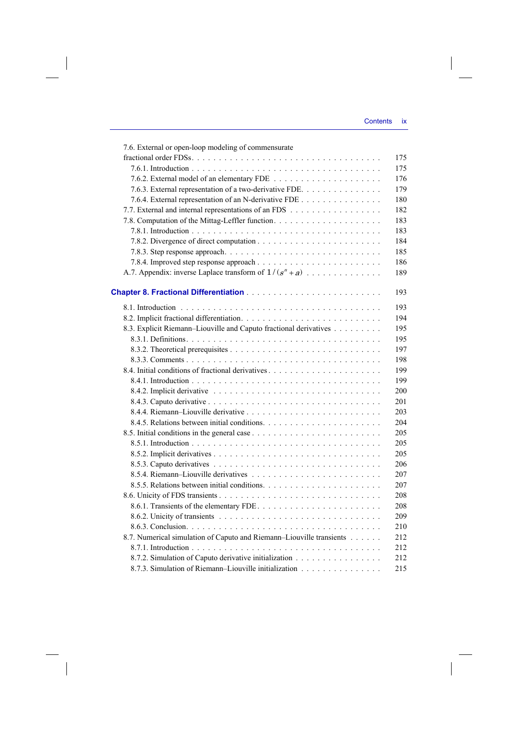$\overline{\phantom{a}}$ 

| 7.6. External or open-loop modeling of commensurate                  |     |
|----------------------------------------------------------------------|-----|
|                                                                      | 175 |
|                                                                      | 175 |
|                                                                      | 176 |
| 7.6.3. External representation of a two-derivative FDE.              | 179 |
| 7.6.4. External representation of an N-derivative FDE                | 180 |
| 7.7. External and internal representations of an FDS                 | 182 |
|                                                                      | 183 |
|                                                                      | 183 |
|                                                                      | 184 |
|                                                                      | 185 |
|                                                                      | 186 |
| A.7. Appendix: inverse Laplace transform of $1/(s^n + a)$            | 189 |
|                                                                      |     |
|                                                                      | 193 |
|                                                                      | 193 |
|                                                                      | 194 |
| 8.3. Explicit Riemann-Liouville and Caputo fractional derivatives    | 195 |
|                                                                      | 195 |
|                                                                      |     |
|                                                                      | 197 |
|                                                                      | 198 |
|                                                                      | 199 |
|                                                                      | 199 |
|                                                                      | 200 |
|                                                                      | 201 |
|                                                                      | 203 |
|                                                                      | 204 |
|                                                                      | 205 |
|                                                                      | 205 |
|                                                                      | 205 |
|                                                                      | 206 |
|                                                                      | 207 |
|                                                                      | 207 |
|                                                                      | 208 |
|                                                                      | 208 |
|                                                                      | 209 |
|                                                                      | 210 |
| 8.7. Numerical simulation of Caputo and Riemann-Liouville transients | 212 |
|                                                                      | 212 |
| 8.7.2. Simulation of Caputo derivative initialization                | 212 |
| 8.7.3. Simulation of Riemann-Liouville initialization                | 215 |

 $\overline{\phantom{a}}$ 

 $\begin{array}{c} \hline \end{array}$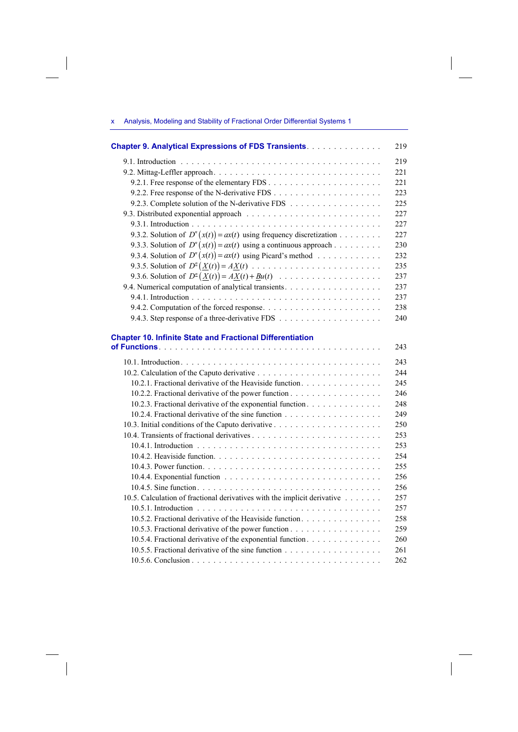## x Analysis, Modeling and Stability of Fractional Order Differential Systems 1

 $\overline{\phantom{a}}$ 

 $\overline{\phantom{a}}$ 

 $\overline{\phantom{a}}$ 

 $\begin{array}{c} \hline \end{array}$ 

| <b>Chapter 9. Analytical Expressions of FDS Transients.</b>              | 219 |
|--------------------------------------------------------------------------|-----|
|                                                                          | 219 |
|                                                                          | 221 |
|                                                                          | 221 |
|                                                                          | 223 |
| 9.2.3. Complete solution of the N-derivative FDS                         | 225 |
|                                                                          | 227 |
|                                                                          | 227 |
| 9.3.2. Solution of $D^n(x(t)) = ax(t)$ using frequency discretization    | 227 |
| 9.3.3. Solution of $D^n(x(t)) = ax(t)$ using a continuous approach       | 230 |
| 9.3.4. Solution of $D^n(x(t)) = ax(t)$ using Picard's method             | 232 |
|                                                                          | 235 |
|                                                                          | 237 |
|                                                                          | 237 |
|                                                                          | 237 |
|                                                                          | 238 |
|                                                                          | 240 |
| <b>Chapter 10. Infinite State and Fractional Differentiation</b>         | 243 |
|                                                                          | 243 |
|                                                                          | 244 |
| 10.2.1. Fractional derivative of the Heaviside function.                 | 245 |
| 10.2.2. Fractional derivative of the power function                      | 246 |
| 10.2.3. Fractional derivative of the exponential function.               | 248 |
|                                                                          | 249 |
|                                                                          | 250 |
|                                                                          | 253 |
|                                                                          | 253 |
|                                                                          | 254 |
|                                                                          | 255 |
|                                                                          | 256 |
|                                                                          | 256 |
| 10.5. Calculation of fractional derivatives with the implicit derivative | 257 |
|                                                                          | 257 |
| 10.5.2. Fractional derivative of the Heaviside function.                 | 258 |
| 10.5.3. Fractional derivative of the power function                      | 259 |
| 10.5.4. Fractional derivative of the exponential function.               | 260 |
|                                                                          | 261 |
|                                                                          | 262 |